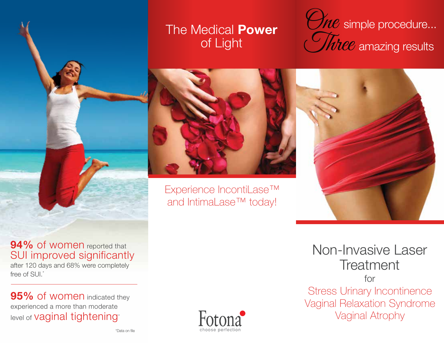### The Medical **Power** of Light

 $\mathcal{S}_{\textit{NC}}$  simple procedure...  $\overline{M}$ e $e$  amazing results



Experience IncontiLase™ and IntimaLase™ today!



after 120 days and 68% were completely free of SUI.<sup>\*</sup>

**95%** of women indicated they experienced a more than moderate level of **Vaginal tightening**\*



Non-Invasive Laser **Treatment** for

Stress Urinary Incontinence Vaginal Relaxation Syndrome Vaginal Atrophy